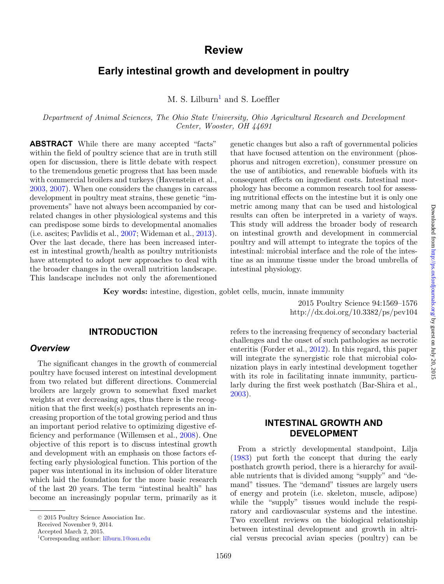# **Review**

# **Early intestinal growth and development in poultry**

 $M. S.$  Lilburn<sup>1</sup> and S. Loeffler

*Department of Animal Sciences, The Ohio State University, Ohio Agricultural Research and Development Center, Wooster, OH 44691*

**ABSTRACT** While there are many accepted "facts" within the field of poultry science that are in truth still open for discussion, there is little debate with respect to the tremendous genetic progress that has been made with commercial broilers and turkeys (Havenstein et al., [2003,](#page-6-0) [2007\)](#page-6-1). When one considers the changes in carcass development in poultry meat strains, these genetic "improvements" have not always been accompanied by correlated changes in other physiological systems and this can predispose some birds to developmental anomalies (i.e. ascites; Pavlidis et al., [2007;](#page-7-0) Wideman et al., [2013\)](#page-7-1). Over the last decade, there has been increased interest in intestinal growth/health as poultry nutritionists have attempted to adopt new approaches to deal with the broader changes in the overall nutrition landscape. This landscape includes not only the aforementioned

genetic changes but also a raft of governmental policies that have focused attention on the environment (phosphorus and nitrogen excretion), consumer pressure on the use of antibiotics, and renewable biofuels with its consequent effects on ingredient costs. Intestinal morphology has become a common research tool for assessing nutritional effects on the intestine but it is only one metric among many that can be used and histological results can often be interpreted in a variety of ways. This study will address the broader body of research on intestinal growth and development in commercial poultry and will attempt to integrate the topics of the intestinal: microbial interface and the role of the intestine as an immune tissue under the broad umbrella of intestinal physiology.

**Key words:** intestine, digestion, goblet cells, mucin, innate immunity

2015 Poultry Science 94:1569–1576 http://dx.doi.org/10.3382/ps/pev104

#### **INTRODUCTION**

#### *Overview*

The significant changes in the growth of commercial poultry have focused interest on intestinal development from two related but different directions. Commercial broilers are largely grown to somewhat fixed market weights at ever decreasing ages, thus there is the recognition that the first week(s) posthatch represents an increasing proportion of the total growing period and thus an important period relative to optimizing digestive efficiency and performance (Willemsen et al., [2008\)](#page-7-2). One objective of this report is to discuss intestinal growth and development with an emphasis on those factors effecting early physiological function. This portion of the paper was intentional in its inclusion of older literature which laid the foundation for the more basic research of the last 20 years. The term "intestinal health" has become an increasingly popular term, primarily as it

Received November 9, 2014.

<span id="page-0-0"></span>Accepted March 2, 2015.

refers to the increasing frequency of secondary bacterial challenges and the onset of such pathologies as necrotic enteritis (Forder et al., [2012\)](#page-5-0). In this regard, this paper will integrate the synergistic role that microbial colonization plays in early intestinal development together with its role in facilitating innate immunity, particularly during the first week posthatch (Bar-Shira et al., [2003\)](#page-5-1).

# **INTESTINAL GROWTH AND DEVELOPMENT**

From a strictly developmental standpoint, Lilja [\(1983\)](#page-6-2) put forth the concept that during the early posthatch growth period, there is a hierarchy for available nutrients that is divided among "supply" and "demand" tissues. The "demand" tissues are largely users of energy and protein (i.e. skeleton, muscle, adipose) while the "supply" tissues would include the respiratory and cardiovascular systems and the intestine. Two excellent reviews on the biological relationship between intestinal development and growth in altricial versus precocial avian species (poultry) can be

<sup>© 2015</sup> Poultry Science Association Inc.

<sup>1</sup>Corresponding author: [lilburn.1@osu.edu](mailto:lilburn.1@osu.edu)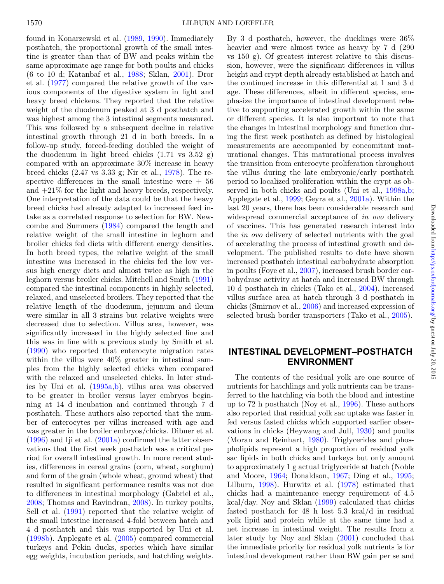found in Konarzewski et al. [\(1989,](#page-6-3) [1990\)](#page-6-4). Immediately posthatch, the proportional growth of the small intestine is greater than that of BW and peaks within the same approximate age range for both poults and chicks (6 to 10 d; Katanbaf et al., [1988;](#page-6-5) Sklan, [2001\)](#page-7-3). Dror et al. [\(1977\)](#page-5-2) compared the relative growth of the various components of the digestive system in light and heavy breed chickens. They reported that the relative weight of the duodenum peaked at 3 d posthatch and was highest among the 3 intestinal segments measured. This was followed by a subsequent decline in relative intestinal growth through 21 d in both breeds. In a follow-up study, forced-feeding doubled the weight of the duodenum in light breed chicks  $(1.71 \text{ vs } 3.52 \text{ g})$ compared with an approximate 30% increase in heavy breed chicks (2.47 vs 3.33 g; Nir et al., [1978\)](#page-6-6). The respective differences in the small intestine were  $+56$ and  $+21\%$  for the light and heavy breeds, respectively. One interpretation of the data could be that the heavy breed chicks had already adapted to increased feed intake as a correlated response to selection for BW. Newcombe and Summers [\(1984\)](#page-6-7) compared the length and relative weight of the small intestine in leghorn and broiler chicks fed diets with different energy densities. In both breed types, the relative weight of the small intestine was increased in the chicks fed the low versus high energy diets and almost twice as high in the leghorn versus broiler chicks. Mitchell and Smith [\(1991\)](#page-6-8) compared the intestinal components in highly selected, relaxed, and unselected broilers. They reported that the relative length of the duodenum, jejunum and ileum were similar in all 3 strains but relative weights were decreased due to selection. Villus area, however, was significantly increased in the highly selected line and this was in line with a previous study by Smith et al. [\(1990\)](#page-7-4) who reported that enterocyte migration rates within the villus were 40% greater in intestinal samples from the highly selected chicks when compared with the relaxed and unselected chicks. In later studies by Uni et al. [\(1995a](#page-7-5)[,b\)](#page-7-6), villus area was observed to be greater in broiler versus layer embryos beginning at 14 d incubation and continued through 7 d posthatch. These authors also reported that the number of enterocytes per villus increased with age and was greater in the broiler embryos/chicks. Dibner et al. [\(1996\)](#page-5-3) and Iji et al. [\(2001a\)](#page-6-9) confirmed the latter observations that the first week posthatch was a critical period for overall intestinal growth. In more recent studies, differences in cereal grains (corn, wheat, sorghum) and form of the grain (whole wheat, ground wheat) that resulted in significant performance results was not due to differences in intestinal morphology (Gabriel et al., [2008;](#page-6-10) Thomas and Ravindran, [2008\)](#page-7-7). In turkey poults, Sell et al. [\(1991\)](#page-7-8) reported that the relative weight of the small intestine increased 4-fold between hatch and 4 d posthatch and this was supported by Uni et al. [\(1998b\)](#page-7-9). Applegate et al. [\(2005\)](#page-5-4) compared commercial turkeys and Pekin ducks, species which have similar egg weights, incubation periods, and hatchling weights.

By 3 d posthatch, however, the ducklings were 36% heavier and were almost twice as heavy by 7 d  $(290$ vs 150 g). Of greatest interest relative to this discussion, however, were the significant differences in villus height and crypt depth already established at hatch and the continued increase in this differential at 1 and 3 d age. These differences, albeit in different species, emphasize the importance of intestinal development relative to supporting accelerated growth within the same or different species. It is also important to note that the changes in intestinal morphology and function during the first week posthatch as defined by histological measurements are accompanied by concomitant maturational changes. This maturational process involves the transition from enterocyte proliferation throughout the villus during the late embryonic/early posthatch period to localized proliferation within the crypt as observed in both chicks and poults (Uni et al., [1998a,](#page-7-10)[b;](#page-7-9) Applegate et al., [1999;](#page-5-5) Geyra et al., [2001a\)](#page-6-11). Within the last 20 years, there has been considerable research and widespread commercial acceptance of *in ovo* delivery of vaccines. This has generated research interest into the *in ovo* delivery of selected nutrients with the goal of accelerating the process of intestinal growth and development. The published results to date have shown increased posthatch intestinal carbohydrate absorption in poults (Foye et al., [2007\)](#page-5-6), increased brush border carbohydrase activity at hatch and increased BW through 10 d posthatch in chicks (Tako et al., [2004\)](#page-7-11), increased villus surface area at hatch through 3 d posthatch in chicks (Smirnov et al., [2006\)](#page-7-12) and increased expression of selected brush border transporters (Tako et al., [2005\)](#page-7-13).

# **INTESTINAL DEVELOPMENT–POSTHATCH ENVIRONMENT**

The contents of the residual yolk are one source of nutrients for hatchlings and yolk nutrients can be transferred to the hatchling via both the blood and intestine up to 72 h posthatch (Noy et al., [1996\)](#page-7-14). These authors also reported that residual yolk sac uptake was faster in fed versus fasted chicks which supported earlier observations in chicks (Heywang and Jull, [1930\)](#page-6-12) and poults (Moran and Reinhart, [1980\)](#page-6-13). Triglycerides and phospholipids represent a high proportion of residual yolk sac lipids in both chicks and turkeys but only amount to approximately 1 g actual triglyceride at hatch (Noble and Moore, [1964;](#page-6-14) Donaldson, [1967;](#page-5-7) Ding et al., [1995;](#page-5-8) Lilburn, [1998\)](#page-6-15). Hurwitz et al. [\(1978\)](#page-6-16) estimated that chicks had a maintenance energy requirement of 4.5 kcal/day. Noy and Sklan [\(1999\)](#page-7-15) calculated that chicks fasted posthatch for 48 h lost 5.3 kcal/d in residual yolk lipid and protein while at the same time had a net increase in intestinal weight. The results from a later study by Noy and Sklan [\(2001\)](#page-7-16) concluded that the immediate priority for residual yolk nutrients is for intestinal development rather than BW gain per se and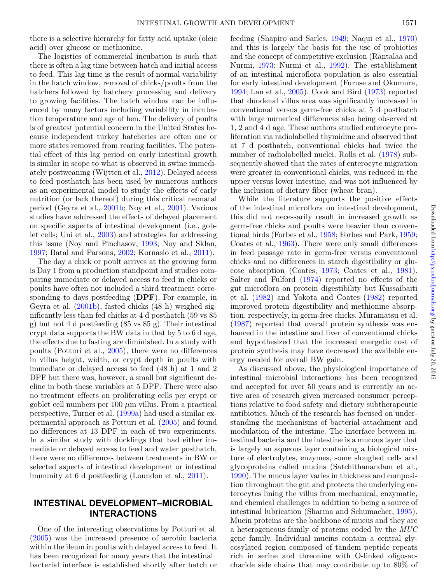there is a selective hierarchy for fatty acid uptake (oleic acid) over glucose or methionine.

The logistics of commercial incubation is such that there is often a lag time between hatch and initial access to feed. This lag time is the result of normal variability in the hatch window, removal of chicks/poults from the hatchers followed by hatchery processing and delivery to growing facilities. The hatch window can be influenced by many factors including variability in incubation temperature and age of hen. The delivery of poults is of greatest potential concern in the United States because independent turkey hatcheries are often one or more states removed from rearing facilities. The potential effect of this lag period on early intestinal growth is similar in scope to what is observed in swine immediately postweaning (Wijtten et al., [2012\)](#page-7-17). Delayed access to feed posthatch has been used by numerous authors as an experimental model to study the effects of early nutrition (or lack thereof) during this critical neonatal period (Geyra et al., [2001b;](#page-6-17) Noy et al., [2001\)](#page-6-18). Various studies have addressed the effects of delayed placement on specific aspects of intestinal development (i.e., goblet cells; Uni et al., [2003\)](#page-7-18) and strategies for addressing this issue (Noy and Pinchasov, [1993;](#page-6-19) Noy and Sklan, [1997;](#page-7-19) Batal and Parsons, [2002;](#page-5-9) Kornasio et al., [2011\)](#page-6-20).

The day a chick or poult arrives at the growing farm is Day 1 from a production standpoint and studies comparing immediate or delayed access to feed in chicks or poults have often not included a third treatment corresponding to days postfeeding (**DPF**). For example, in Geyra et al. [\(2001b\)](#page-6-17), fasted chicks (48 h) weighed significantly less than fed chicks at 4 d posthatch (59 vs 85 g) but not 4 d postfeeding (85 vs 85 g). Their intestinal crypt data supports the BW data in that by 5 to 6 d age, the effects due to fasting are diminished. In a study with poults (Potturi et al., [2005\)](#page-7-20), there were no differences in villus height, width, or crypt depth in poults with immediate or delayed access to feed (48 h) at 1 and 2 DPF but there was, however, a small but significant decline in both these variables at 5 DPF. There were also no treatment effects on proliferating cells per crypt or goblet cell numbers per  $100 \mu m$  villus. From a practical perspective, Turner et al. [\(1999a\)](#page-7-21) had used a similar experimental approach as Potturi et al. [\(2005\)](#page-7-20) and found no differences at 13 DPF in each of two experiments. In a similar study with ducklings that had either immediate or delayed access to feed and water posthatch, there were no differences between treatments in BW or selected aspects of intestinal development or intestinal immunity at 6 d postfeeding (Loundon et al., [2011\)](#page-6-21).

## **INTESTINAL DEVELOPMENT–MICROBIAL INTERACTIONS**

One of the interesting observations by Potturi et al. [\(2005\)](#page-7-20) was the increased presence of aerobic bacteria within the ileum in poults with delayed access to feed. It has been recognized for many years that the intestinal– bacterial interface is established shortly after hatch or

feeding (Shapiro and Sarles, [1949;](#page-7-22) Naqui et al., [1970\)](#page-6-22) and this is largely the basis for the use of probiotics and the concept of competitive exclusion (Rantalaa and Nurmi, [1973;](#page-7-23) Nurmi et al., [1992\)](#page-7-24). The establishment of an intestinal microflora population is also essential for early intestinal development (Furuse and Okumura, [1994;](#page-6-23) Lan et al., [2005\)](#page-6-24). Cook and Bird [\(1973\)](#page-5-10) reported that duodenal villus area was significantly increased in conventional versus germ-free chicks at 5 d posthatch with large numerical differences also being observed at 1, 2 and 4 d age. These authors studied enterocyte proliferation via radiolabelled thymidine and observed that at 7 d posthatch, conventional chicks had twice the number of radiolabelled nuclei. Rolls et al. [\(1978\)](#page-7-25) subsequently showed that the rates of enterocyte migration were greater in conventional chicks, was reduced in the upper versus lower intestine, and was not influenced by the inclusion of dietary fiber (wheat bran).

While the literature supports the positive effects of the intestinal microflora on intestinal development, this did not necessarily result in increased growth as germ-free chicks and poults were heavier than conventional birds (Forbes et al., [1958;](#page-5-11) Forbes and Park, [1959;](#page-5-12) Coates et al., [1963\)](#page-5-13). There were only small differences in feed passage rate in germ-free versus conventional chicks and no differences in starch digestibility or glucose absorption (Coates, [1973;](#page-5-14) Coates et al., [1981\)](#page-5-15). Salter and Fulford [\(1974\)](#page-7-26) reported no effects of the gut microflora on protein digestibility but Kussaibaiti et al. [\(1982\)](#page-6-25) and Yokota and Coates [\(1982\)](#page-7-27) reported improved protein digestibility and methionine absorption, respectively, in germ-free chicks. Muramatsu et al. [\(1987\)](#page-6-26) reported that overall protein synthesis was enhanced in the intestine and liver of conventional chicks and hypothesized that the increased energetic cost of protein synthesis may have decreased the available energy needed for overall BW gain.

As discussed above, the physiological importance of intestinal–microbial interactions has been recognized and accepted for over 50 years and is currently an active area of research given increased consumer perceptions relative to food safety and dietary subtherapeutic antibiotics. Much of the research has focused on understanding the mechanisms of bacterial attachment and modulation of the intestine. The interface between intestinal bacteria and the intestine is a mucous layer that is largely an aqueous layer containing a biological mixture of electrolytes, enzymes, some sloughed cells and glycoproteins called mucins (Satchithanandam et al., [1990\)](#page-7-28). The mucus layer varies in thickness and composition throughout the gut and protects the underlying enterocytes lining the villus from mechanical, enzymatic, and chemical challenges in addition to being a source of intestinal lubrication (Sharma and Schumacher, [1995\)](#page-7-29). Mucin proteins are the backbone of mucus and they are a heterogeneous family of proteins coded by the *MUC* gene family. Individual mucins contain a central glycosylated region composed of tandem peptide repeats rich in serine and threonine with O-linked oligosaccharide side chains that may contribute up to 80% of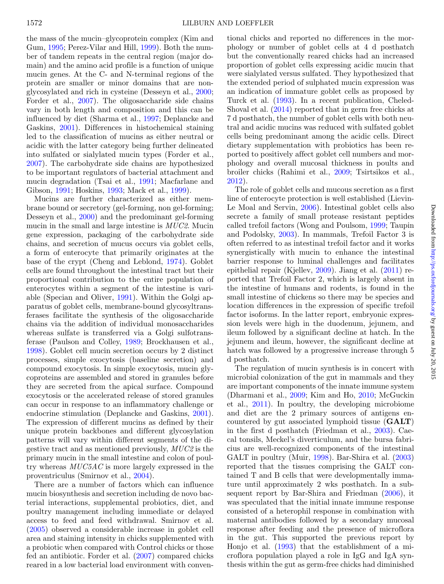the mass of the mucin–glycoprotein complex (Kim and Gum, [1995;](#page-6-27) Perez-Vilar and Hill, [1999\)](#page-7-30). Both the number of tandem repeats in the central region (major domain) and the amino acid profile is a function of unique mucin genes. At the C- and N-terminal regions of the protein are smaller or minor domains that are nonglycosylated and rich in cysteine (Desseyn et al., [2000;](#page-5-16) Forder et al., [2007\)](#page-5-17). The oligosaccharide side chains vary in both length and composition and this can be influenced by diet (Sharma et al., [1997;](#page-7-31) Deplancke and Gaskins, [2001\)](#page-5-18). Differences in histochemical staining led to the classification of mucins as either neutral or acidic with the latter category being further delineated into sulfated or sialylated mucin types (Forder et al., [2007\)](#page-5-17). The carbohydrate side chains are hypothesized to be important regulators of bacterial attachment and mucin degradation (Tsai et al., [1991;](#page-7-32) Macfarlane and Gibson, [1991;](#page-6-28) Hoskins, [1993;](#page-6-29) Mack et al., [1999\)](#page-6-30).

Mucins are further characterized as either membrane bound or secretory (gel-forming, non gel-forming; Desseyn et al., [2000\)](#page-5-16) and the predominant gel-forming mucin in the small and large intestine is *MUC2*. Mucin gene expression, packaging of the carbohydrate side chains, and secretion of mucus occurs via goblet cells, a form of enterocyte that primarily originates at the base of the crypt (Cheng and Leblond, [1974\)](#page-5-19). Goblet cells are found throughout the intestinal tract but their proportional contribution to the entire population of enterocytes within a segment of the intestine is variable (Specian and Oliver, [1991\)](#page-7-33). Within the Golgi apparatus of goblet cells, membrane-bound glycosyltransferases facilitate the synthesis of the oligosaccharide chains via the addition of individual monosaccharides whereas sulfate is transferred via a Golgi sulfotransferase (Paulson and Colley, [1989;](#page-7-34) Brockhausen et al., [1998\)](#page-5-20). Goblet cell mucin secretion occurs by 2 distinct processes, simple exocytosis (baseline secretion) and compound exocytosis. In simple exocytosis, mucin glycoproteins are assembled and stored in granules before they are secreted from the apical surface. Compound exocytosis or the accelerated release of stored granules can occur in response to an inflammatory challenge or endocrine stimulation (Deplancke and Gaskins, [2001\)](#page-5-18). The expression of different mucins as defined by their unique protein backbones and different glycosylation patterns will vary within different segments of the digestive tract and as mentioned previously, *MUC2* is the primary mucin in the small intestine and colon of poultry whereas *MUC5AC* is more largely expressed in the proventriculus (Smirnov et al., [2004\)](#page-7-35).

There are a number of factors which can influence mucin biosynthesis and secretion including de novo bacterial interactions, supplemental probiotics, diet, and poultry management including immediate or delayed access to feed and feed withdrawal. Smirnov et al. [\(2005\)](#page-7-36) observed a considerable increase in goblet cell area and staining intensity in chicks supplemented with a probiotic when compared with Control chicks or those fed an antibiotic. Forder et al. [\(2007\)](#page-5-17) compared chicks reared in a low bacterial load environment with conventional chicks and reported no differences in the morphology or number of goblet cells at 4 d posthatch but the conventionally reared chicks had an increased proportion of goblet cells expressing acidic mucin that were sialylated versus sulfated. They hypothesized that the extended period of sulphated mucin expression was an indication of immature goblet cells as proposed by Turck et al. [\(1993\)](#page-7-37). In a recent publication, Cheled-Shoval et al. [\(2014\)](#page-5-21) reported that in germ free chicks at 7 d posthatch, the number of goblet cells with both neutral and acidic mucins was reduced with sulfated goblet cells being predominant among the acidic cells. Direct dietary supplementation with probiotics has been reported to positively affect goblet cell numbers and morphology and overall mucosal thickness in poults and broiler chicks (Rahimi et al., [2009;](#page-7-38) Tsirtsikos et al., [2012\)](#page-7-39).

The role of goblet cells and mucous secretion as a first line of enterocyte protection is well established (Lievin-Le Moal and Servin, [2006\)](#page-6-31). Intestinal goblet cells also secrete a family of small protease resistant peptides called trefoil factors (Wong and Poulsom, [1999;](#page-7-40) Taupin and Podolsky, [2003\)](#page-7-41). In mammals, Trefoil Factor 3 is often referred to as intestinal trefoil factor and it works synergistically with mucin to enhance the intestinal barrier response to luminal challenges and facilitates epithelial repair (Kjellev, [2009\)](#page-6-32). Jiang et al. [\(2011\)](#page-6-33) reported that Trefoil Factor 2, which is largely absent in the intestine of humans and rodents, is found in the small intestine of chickens so there may be species and location differences in the expression of specific trefoil factor isoforms. In the latter report, embryonic expression levels were high in the duodenum, jejunem, and ileum followed by a significant decline at hatch. In the jejunem and ileum, however, the significant decline at hatch was followed by a progressive increase through 5 d posthatch.

The regulation of mucin synthesis is in concert with microbial colonization of the gut in mammals and they are important components of the innate immune system (Dharmani et al., [2009;](#page-5-22) Kim and Ho, [2010;](#page-6-34) McGuckin et al., [2011\)](#page-6-35). In poultry, the developing microbiome and diet are the 2 primary sources of antigens encountered by gut associated lymphoid tissue (**GALT**) in the first d posthatch (Friedman et al., [2003\)](#page-5-23). Caecal tonsils, Meckel's diverticulum, and the bursa fabricius are well-recognized components of the intestinal GALT in poultry (Muir, [1998\)](#page-6-36). Bar-Shira et al. [\(2003\)](#page-5-1) reported that the tissues comprising the GALT contained T and B cells that were developmentally immature until approximately 2 wks posthatch. In a subsequent report by Bar-Shira and Friedman [\(2006\)](#page-5-24), it was speculated that the initial innate immune response consisted of a heterophil response in combination with maternal antibodies followed by a secondary mucosal response after feeding and the presence of microflora in the gut. This supported the previous report by Honjo et al. [\(1993\)](#page-6-37) that the establishment of a microflora population played a role in IgG and IgA synthesis within the gut as germ-free chicks had diminished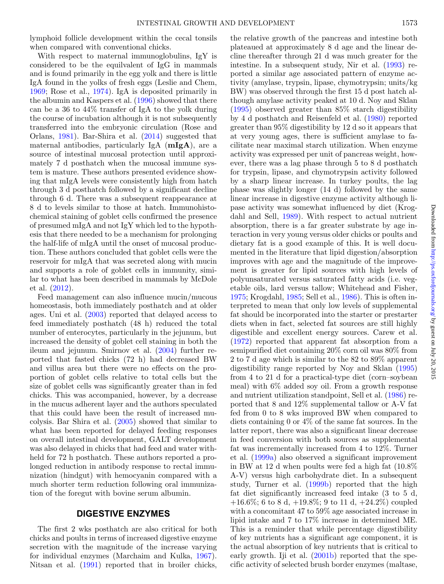lymphoid follicle development within the cecal tonsils when compared with conventional chicks.

With respect to maternal immunoglobulins, IgY is considered to be the equilvalent of IgG in mammals and is found primarily in the egg yolk and there is little IgA found in the yolks of fresh eggs (Leslie and Chem, [1969;](#page-6-38) Rose et al., [1974\)](#page-7-42). IgA is deposited primarily in the albumin and Kaspers et al. [\(1996\)](#page-6-39) showed that there can be a 36 to 44% transfer of IgA to the yolk during the course of incubation although it is not subsequently transferred into the embryonic circulation (Rose and Orlans, [1981\)](#page-7-43). Bar-Shira et al. [\(2014\)](#page-5-25) suggested that maternal antibodies, particularly IgA (**mIgA**), are a source of intestinal mucosal protection until approximately 7 d posthatch when the mucosal immune system is mature. These authors presented evidence showing that mIgA levels were consistently high from hatch through 3 d posthatch followed by a significant decline through 6 d. There was a subsequent reappearance at 8 d to levels similar to those at hatch. Immunohistochemical staining of goblet cells confirmed the presence of presumed mIgA and not IgY which led to the hypothesis that there needed to be a mechanism for prolonging the half-life of mIgA until the onset of mucosal production. These authors concluded that goblet cells were the reservoir for mIgA that was secreted along with mucin and supports a role of goblet cells in immunity, similar to what has been described in mammals by McDole et al. [\(2012\)](#page-6-40).

Feed management can also influence mucin/mucous homeostasis, both immediately posthatch and at older ages. Uni et al. [\(2003\)](#page-7-18) reported that delayed access to feed immediately posthatch (48 h) reduced the total number of enterocytes, particularly in the jejunum, but increased the density of goblet cell staining in both the ileum and jejunum. Smirnov et al. [\(2004\)](#page-7-35) further reported that fasted chicks (72 h) had decreased BW and villus area but there were no effects on the proportion of goblet cells relative to total cells but the size of goblet cells was significantly greater than in fed chicks. This was accompanied, however, by a decrease in the mucus adherent layer and the authors speculated that this could have been the result of increased mucolysis. Bar Shira et al. [\(2005\)](#page-5-26) showed that similar to what has been reported for delayed feeding responses on overall intestinal development, GALT development was also delayed in chicks that had feed and water withheld for 72 h posthatch. These authors reported a prolonged reduction in antibody response to rectal immunization (hindgut) with hemocyanin compared with a much shorter term reduction following oral immunization of the foregut with bovine serum albumin.

### **DIGESTIVE ENZYMES**

The first 2 wks posthatch are also critical for both chicks and poults in terms of increased digestive enzyme secretion with the magnitude of the increase varying for individual enzymes (Marchaim and Kulka, [1967\)](#page-6-41). Nitsan et al. [\(1991\)](#page-6-42) reported that in broiler chicks,

the relative growth of the pancreas and intestine both plateaued at approximately 8 d age and the linear decline thereafter through 21 d was much greater for the intestine. In a subsequent study, Nir et al. [\(1993\)](#page-6-43) reported a similar age associated pattern of enzyme activity (amylase, trypsin, lipase, chymotrypsin; units/kg BW) was observed through the first 15 d post hatch although amylase activity peaked at 10 d. Noy and Sklan [\(1995\)](#page-7-44) observed greater than 85% starch digestibility by 4 d posthatch and Reisenfeld et al. [\(1980\)](#page-7-45) reported greater than 95% digestibility by 12 d so it appears that at very young ages, there is sufficient amylase to facilitate near maximal starch utilization. When enzyme activity was expressed per unit of pancreas weight, however, there was a lag phase through 5 to 8 d posthatch for trypsin, lipase, and chymotrypsin activity followed by a sharp linear increase. In turkey poults, the lag phase was slightly longer (14 d) followed by the same linear increase in digestive enzyme activity although lipase activity was somewhat influenced by diet (Krogdahl and Sell, [1989\)](#page-6-44). With respect to actual nutrient absorption, there is a far greater substrate by age interaction in very young versus older chicks or poults and dietary fat is a good example of this. It is well documented in the literature that lipid digestion/absorption improves with age and the magnitude of the improvement is greater for lipid sources with high levels of polyunsaturated versus saturated fatty acids (i.e. vegetable oils, lard versus tallow; Whitehead and Fisher, [1975;](#page-7-46) Krogdahl, [1985;](#page-6-45) Sell et al., [1986\)](#page-7-47). This is often interpreted to mean that only low levels of supplemental fat should be incorporated into the starter or prestarter diets when in fact, selected fat sources are still highly digestible and excellent energy sources. Carew et al. [\(1972\)](#page-5-27) reported that apparent fat absorption from a semipurified diet containing 20% corn oil was 80% from 2 to 7 d age which is similar to the 82 to 89% apparent digestibility range reported by Noy and Sklan [\(1995\)](#page-7-44) from 4 to 21 d for a practical-type diet (corn–soybean meal) with 6% added soy oil. From a growth response and nutrient utilization standpoint, Sell et al. [\(1986\)](#page-7-47) reported that 8 and 12% supplemental tallow or A-V fat fed from 0 to 8 wks improved BW when compared to diets containing 0 or 4% of the same fat sources. In the latter report, there was also a significant linear decrease in feed conversion with both sources as supplemental fat was incrementally increased from 4 to 12%. Turner et al. [\(1999a\)](#page-7-21) also observed a significant improvement in BW at 12 d when poults were fed a high fat (10.8% A-V) versus high carbohydrate diet. In a subsequent study, Turner et al. [\(1999b\)](#page-7-48) reported that the high fat diet significantly increased feed intake (3 to 5 d,  $+16.6\%$ ; 6 to 8 d,  $+19.8\%$ ; 9 to 11 d,  $+24.2\%$ ) coupled with a concomitant 47 to 59% age associated increase in lipid intake and 7 to 17% increase in determined ME. This is a reminder that while percentage digestibility of key nutrients has a significant age component, it is the actual absorption of key nutrients that is critical to early growth. Iji et al.  $(2001b)$  reported that the specific activity of selected brush border enzymes (maltase,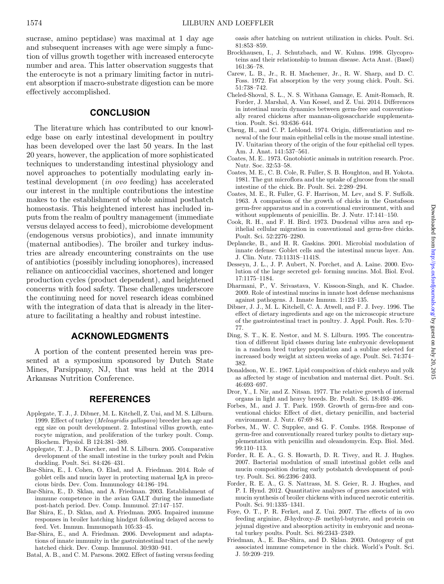sucrase, amino peptidase) was maximal at 1 day age and subsequent increases with age were simply a function of villus growth together with increased enterocyte number and area. This latter observation suggests that the enterocyte is not a primary limiting factor in nutrient absorption if macro-substrate digestion can be more effectively accomplished.

## **CONCLUSION**

The literature which has contributed to our knowledge base on early intestinal development in poultry has been developed over the last 50 years. In the last 20 years, however, the application of more sophisticated techniques to understanding intestinal physiology and novel approaches to potentially modulating early intestinal development (*in ovo* feeding) has accelerated our interest in the multiple contributions the intestine makes to the establishment of whole animal posthatch homeostasis. This heightened interest has included inputs from the realm of poultry management (immediate versus delayed access to feed), microbiome development (endogenous versus probiotics), and innate immunity (maternal antibodies). The broiler and turkey industries are already encountering constraints on the use of antibiotics (possibly including ionophores), increased reliance on anticoccidial vaccines, shortened and longer production cycles (product dependent), and heightened concerns with food safety. These challenges underscore the continuing need for novel research ideas combined with the integration of data that is already in the literature to facilitating a healthy and robust intestine.

### **ACKNOWLEDGMENTS**

A portion of the content presented herein was presented at a symposium sponsored by Dutch State Mines, Parsippany, NJ, that was held at the 2014 Arkansas Nutrition Conference.

### **REFERENCES**

- <span id="page-5-5"></span>Applegate, T. J., J. Dibner, M. L. Kitchell, Z. Uni, and M. S. Lilburn. 1999. Effect of turkey (*Meleagridis gallopavo*) breeder hen age and egg size on poult development. 2. Intestinal villus growth, enterocyte migration, and proliferation of the turkey poult. Comp. Biochem. Physiol. B 124:381–389.
- <span id="page-5-4"></span>Applegate, T. J., D. Karcher, and M. S. Lilburn. 2005. Comparative development of the small intestine in the turkey poult and Pekin duckling. Poult. Sci. 84:426–431.
- <span id="page-5-25"></span>Bar-Shira, E., I. Cohen, O. Elad, and A. Friedman. 2014. Role of goblet cells and mucin layer in protecting maternal IgA in precocious birds. Dev. Com. Immunology 44:186–194.
- <span id="page-5-1"></span>Bar-Shira, E., D. Sklan, and A. Friedman. 2003. Establishment of immune competence in the avian GALT during the immediate post-hatch period. Dev. Comp. Immunol. 27:147–157.
- <span id="page-5-26"></span>Bar Shira, E., D. Sklan, and A. Friedman. 2005. Impaired immune responses in broiler hatching hindgut following delayed access to feed. Vet. Immun. Immunopath 105:33–45.
- <span id="page-5-24"></span>Bar-Shira, E., and A. Friedman. 2006. Development and adaptations of innate immunity in the gastrointestinal tract of the newly hatched chick. Dev. Comp. Immunol. 30:930–941.
- <span id="page-5-9"></span>Batal, A. B., and C. M. Parsons. 2002. Effect of fasting versus feeding

oasis after hatching on nutrient utilization in chicks. Poult. Sci. 81:853–859.

- <span id="page-5-20"></span>Brockhausen, I., J. Schutzbach, and W. Kuhns. 1998. Glycoproteins and their relationship to human disease. Acta Anat. (Basel) 161:36–78.
- <span id="page-5-27"></span>Carew, L. B., Jr., R. H. Machemer, Jr., R. W. Sharp, and D. C. Foss. 1972. Fat absorption by the very young chick. Poult. Sci. 51:738–742.
- <span id="page-5-21"></span>Cheled-Shoval, S. L., N. S. Withana Gamage, E. Amit-Romach, R. Forder, J. Marshal, A. Van Kessel, and Z. Uni. 2014. Differences in intestinal mucin dynamics between germ-free and conventionally reared chickens after mannan-oligosaccharide supplementation. Poult. Sci. 93:636–644.
- <span id="page-5-19"></span>Cheng, H., and C. P. Leblond. 1974. Origin, differentiation and renewal of the four main epithelial cells in the mouse small intestine. IV. Unitarian theory of the origin of the four epithelial cell types. Am. J. Anat. 141:537–561.
- <span id="page-5-14"></span>Coates, M. E.. 1973. Gnotobiotic animals in nutrition research. Proc. Nutr. Soc. 32:53–58.
- <span id="page-5-15"></span>Coates, M. E., C. B. Cole, R. Fuller, S. B. Houghton, and H. Yokota. 1981. The gut microflora and the uptake of glucose from the small intestine of the chick. Br. Poult. Sci. 2:289–294.
- <span id="page-5-13"></span>Coates, M. E., R. Fuller, G. F. Harrison, M. Lev, and S. F. Suffolk. 1963. A comparison of the growth of chicks in the Gustafsson germ-free apparatus and in a conventional environment, with and without supplements of penicillin. Br. J. Nutr. 17:141–150.
- <span id="page-5-10"></span>Cook, R. H., and F. H. Bird. 1973. Duodenal villus area and epithelial cellular migration in conventional and germ-free chicks. Poult. Sci. 52:2276–2280.
- <span id="page-5-18"></span>Deplancke, B., and H. R. Gaskins. 2001. Microbial modulation of innate defense: Goblet cells and the intestinal mucus layer. Am. J. Clin. Nutr. 73:1131S–1141S.
- <span id="page-5-16"></span>Desseyn, J. L., J. P. Aubert, N. Porchet, and A. Laine. 2000. Evolution of the large secreted gel- forming mucins. Mol. Biol. Evol. 17:1175–1184.
- <span id="page-5-22"></span>Dharmani, P., V. Srivastava, V. Kissoon-Singh, and K. Chadee. 2009. Role of intestinal mucins in innate host defense mechanisms against pathogens. J. Innate Immun. 1:123–135.
- <span id="page-5-3"></span>Dibner, J. J., M. L. Kitchell, C. A. Atwell, and F. J. Ivey. 1996. The effect of dietary ingredients and age on the microscopic structure of the gastrointestinal tract in poultry. J. Appl. Poult. Res. 5:70– 77.
- <span id="page-5-8"></span>Ding, S. T., K. E. Nestor, and M. S. Lilburn. 1995. The concentration of different lipid classes during late embryonic development in a random bred turkey population and a subline selected for increased body weight at sixteen weeks of age. Poult. Sci. 74:374– 382.
- <span id="page-5-7"></span>Donaldson, W. E.. 1967. Lipid composition of chick embryo and yolk as affected by stage of incubation and maternal diet. Poult. Sci. 46:693–697.
- <span id="page-5-2"></span>Dror, Y., I. Nir, and Z. Nitsan. 1977. The relative growth of internal organs in light and heavy breeds. Br. Poult. Sci. 18:493–496.
- <span id="page-5-12"></span>Forbes, M., and J. T. Park. 1959. Growth of germ-free and conventional chicks: Effect of diet, dietary penicillin, and bacterial environment. J. Nutr. 67:69–84.
- <span id="page-5-11"></span>Forbes, M., W. C. Supplee, and G. F. Combs. 1958. Response of germ-free and conventionally reared turkey poults to dietary supplementation with penicillin and oleandomycin. Exp. Biol. Med. 99:110–113.
- <span id="page-5-17"></span>Forder, R. E. A., G. S. Howarth, D. R. Tivey, and R. J. Hughes. 2007. Bacterial modulation of small intestinal goblet cells and mucin composition during early potshatch development of poultry. Poult. Sci. 86:2396–2403.
- <span id="page-5-0"></span>Forder, R. E. A., G. S. Nattrass, M. S. Geier, R. J. Hughes, and P. I. Hynd. 2012. Quantitative analyses of genes associated with mucin synthesis of broiler chickens with induced necrotic enteritis. Poult. Sci. 91:1335–1341.
- <span id="page-5-6"></span>Foye, O. T., P. R. Ferket, and Z. Uni. 2007. The effects of in ovo feeding arginine, *B*-hydroxy-*B*- methyl-butyrate, and protein on jejunal digestive and absorption activity in embryonic and neonatal turkey poults. Poult. Sci. 86:2343–2349.
- <span id="page-5-23"></span>Friedman, A., E. Bar-Shira, and D. Sklan. 2003. Ontogeny of gut associated immune competence in the chick. World's Poult. Sci. J. 59:209–219.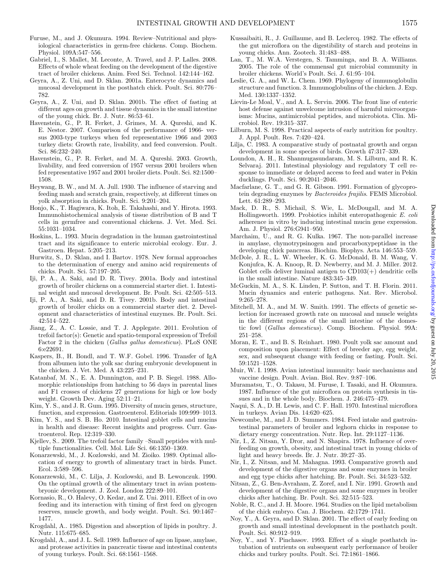- <span id="page-6-23"></span>Furuse, M., and J. Okumura. 1994. Review–Nutritional and physiological characteristics in germ-free chickens. Comp. Biochem. Physiol. 109A:547–556.
- <span id="page-6-10"></span>Gabriel, I., S. Mallet, M. Leconte, A. Travel, and J. P. Lalles. 2008. Effects of whole wheat feeding on the development of the digestive tract of broiler chickens. Anim. Feed Sci. Technol. 142:144–162.
- <span id="page-6-11"></span>Geyra, A., Z. Uni, and D. Sklan. 2001a. Enterocyte dynamics and mucosal development in the posthatch chick. Poult. Sci. 80:776– 782.
- <span id="page-6-17"></span>Geyra, A., Z. Uni, and D. Sklan. 2001b. The effect of fasting at different ages on growth and tissue dynamics in the small intestine of the young chick. Br. J. Nutr. 86:53–61.
- <span id="page-6-1"></span>Havenstein, G., P. R. Ferket, J. Grimes, M. A. Qureshi, and K. E. Nestor. 2007. Comparison of the performance of 1966- versus 2003-type turkeys when fed representative 1966 and 2003 turkey diets: Growth rate, livability, and feed conversion. Poult. Sci. 86:232–240.
- <span id="page-6-0"></span>Havenstein, G., P. R. Ferket, and M. A. Qureshi. 2003. Growth, livability, and feed conversion of 1957 versus 2001 broilers when fed representative 1957 and 2001 broiler diets. Poult. Sci. 82:1500– 1508.
- <span id="page-6-12"></span>Heywang, B. W., and M. A. Jull. 1930. The influence of starving and feeding mash and scratch grain, respectively, at different times on yolk absorption in chicks. Poult. Sci. 9:201–204.
- <span id="page-6-37"></span>Honjo, K., T. Hagiwara, K. Itoh, E. Takahashi, and Y. Hirota. 1993. Immunohistochemical analysis of tissue distribution of B and T cells in germfree and conventional chickens. J. Vet. Med. Sci. 55:1031–1034.
- <span id="page-6-29"></span>Hoskins, L.. 1993. Mucin degradation in the human gastrointestinal tract and its significance to enteric microbial ecology. Eur. J. Gastroen. Hepat. 5:205–213.
- <span id="page-6-16"></span>Hurwitz, S., D. Sklan, and I. Bartov. 1978. New formal approaches to the determination of energy and amino acid requirements of chicks. Poult. Sci. 57:197–205.
- <span id="page-6-9"></span>Iji, P. A., A. Saki, and D. R. Tivey. 2001a. Body and intestinal growth of broiler chickens on a commercial starter diet. 1. Intestinal weight and mucosal development. Br. Poult. Sci. 42:505–513.
- <span id="page-6-46"></span>Iji, P. A., A. Saki, and D. R. Tivey. 2001b. Body and intestinal growth of broiler chicks on a commercial starter diet. 2. Development and characteristics of intestinal enzymes. Br. Poult. Sci. 42:514–522.
- <span id="page-6-33"></span>Jiang, Z., A. C. Lossie, and T. J. Applegate. 2011. Evolution of trefoil factor(s): Genetic and spatio-temporal expression of Trefoil Factor 2 in the chicken (*Gallus gallus domesticus*). PLoS ONE 6:e22691.
- <span id="page-6-39"></span>Kaspers, B., H. Bondl, and T. W.F. Gobel. 1996. Transfer of IgA from albumen into the yolk sac during embryonic development in the chicken. J. Vet. Med. A 43:225–231.
- <span id="page-6-5"></span>Katanbaf, M. N., E. A. Dunnington, and P. B. Siegel. 1988. Allomorphic relationships from hatching to 56 days in parental lines and F1 crosses of chickens 27 generations for high or low body weight. Growth Dev. Aging 52:11–21.
- <span id="page-6-27"></span>Kim, Y. S., and J. R. Gum. 1995. Diversity of mucin genes, structure, function, and expression. Gastroenterol. Editorials 109:999–1013.
- <span id="page-6-34"></span>Kim, Y. S., and S. B. Ho. 2010. Intestinal goblet cells and mucins in health and disease: Recent insights and progress. Curr. Gastroenterol. Rep. 12:319–330.
- <span id="page-6-32"></span>Kjellev, S.. 2009. The trefoil factor family –Small peptides with multiple functionalities. Cell. Mol. Life Sci. 66:1350–1369.
- <span id="page-6-3"></span>Konarzewski, M., J. Kozlowski, and M. Zioiko. 1989. Optimal allocation of energy to growth of alimentary tract in birds. Funct. Ecol. 3:589–596.
- <span id="page-6-4"></span>Konarzewski, M., C. Lilja, J. Kozlowski, and B. Lewonczuk. 1990. On the optimal growth of the alimentary tract in avian postembryonic development. J. Zool. London 222:89–101.
- <span id="page-6-20"></span>Kornasio, R., O. Halevy, O. Kedar, and Z. Uni. 2011. Effect of in ovo feeding and its interaction with timing of first feed on glycogen reserves, muscle growth, and body weight. Poult. Sci. 90:1467– 1477.
- <span id="page-6-45"></span>Krogdahl, A.. 1985. Digestion and absorption of lipids in poultry. J. Nutr. 115:675–685.
- <span id="page-6-44"></span>Krogdahl, A., and J. L. Sell. 1989. Influence of age on lipase, amylase, and protease activities in pancreatic tissue and intestinal contents of young turkeys. Poult. Sci. 68:1561–1568.
- <span id="page-6-25"></span>Kussaibaiti, R., J. Guillaume, and B. Leclercq. 1982. The effects of the gut microflora on the digestibility of starch and proteins in young chicks. Ann. Zootech. 31:483–488.
- <span id="page-6-24"></span>Lan, T., M. W.A. Verstegen, S. Tamminga, and B. A. Williams. 2005. The role of the commensal gut microbial community in broiler chickens. World's Poult. Sci. J. 61:95–104.
- <span id="page-6-38"></span>Leslie, G. A., and W. L. Chem. 1969. Phylogeny of immunoglobulin structure and function. 3. Immunoglobulins of the chicken. J. Exp. Med. 130:1337–1352.
- <span id="page-6-31"></span>Lievin-Le Moal, V., and A. L. Servin. 2006. The front line of enteric host defense against unwelcome intrusion of harmful microorganisms: Mucins, antimicrobial peptides, and microbiota. Clin. Microbiol. Rev. 19:315–337.
- <span id="page-6-15"></span>Lilburn, M. S. 1998. Practical aspects of early nutrition for poultry. J. Appl. Poult. Res. 7:420–424.
- <span id="page-6-2"></span>Lilja, C. 1983. A comparative study of postnatal growth and organ development in some species of birds. Growth 47:317–339.
- <span id="page-6-21"></span>Loundon, A. H., R. Shanmugasundaram, M. S. Lilburn, and R. K. Selvaraj. 2011. Intestinal physiology and regulatory T cell response to immediate or delayed access to feed and water in Pekin ducklings. Poult. Sci. 90:2041–2046.
- <span id="page-6-28"></span>Macfarlane, G. T., and G. R. Gibson. 1991. Formation of glycoprotein degrading enzymes by *Bacteroides frajilis*. FEMS Microbiol. Lett. 61:289–293.
- <span id="page-6-30"></span>Mack, D. R., S. Michail, S. Wie, L. McDougall, and M. A. Hollingsworth. 1999. Probiotics inhibit enteropathogenic *E. coli* adherence in vitro by inducing intestinal mucin gene expression. Am. J. Physiol. 276:G941–950.
- <span id="page-6-41"></span>Marchaim, U., and R. G. Kulka. 1967. The non-parallel increase in amylase, chymotrypsinogen and procarboxypeptidase in the developing chick pancreas. Biochim. Biophys. Acta 146:553–559.
- <span id="page-6-40"></span>McDole, J. R., L. W. Wheeler, K. G. McDonald, B. M. Wang, V. Konjufca, K. A. Knoop, R. D. Newberry, and M. J. Miller. 2012. Goblet cells deliver luminal antigen to  $CD103(+)$  dendritic cells in the small intestine. Nature 483:345–349.
- <span id="page-6-35"></span>McGuckin, M. A., S. K. Linden, P. Sutton, and T. H. Florin. 2011. Mucin dynamics and enteric pathogens. Nat. Rev. Microbol. 9:265–278.
- <span id="page-6-8"></span>Mitchell, M. A., and M. W. Smith. 1991. The effects of genetic selection for increased growth rate on mucosal and muscle weights in the different regions of the small intestine of the domestic fowl (*Gallus domesticus*). Comp. Biochem. Physiol. 99A: 251–258.
- <span id="page-6-13"></span>Moran, E. T., and B. S. Reinhart. 1980. Poult yolk sac amount and composition upon placement: Effect of breeder age, egg weight, sex, and subsequent change with feeding or fasting. Poult. Sci. 59:1521–1528.
- <span id="page-6-36"></span>Muir, W. I. 1998. Avian intestinal immunity: basic mechanisms and vaccine design. Poult. Avian. Biol. Rev. 9:87–106.
- <span id="page-6-26"></span>Muramatsu, T., O. Takasu, M. Furuse, I. Tasaki, and H. Okumura. 1987. Influence of the gut microflora on protein synthesis in tissues and in the whole body. Biochem. J. 246:475–479.
- <span id="page-6-22"></span>Naqui, S. A., D. H. Lewis, and C. F. Hall. 1970. Intestinal microflora in turkeys. Avian Dis. 14:620–625.
- <span id="page-6-7"></span>Newcombe, M., and J. D. Summers. 1984. Feed intake and gastrointestinal parameters of broiler and leghorn chicks in response to dietary energy concentration. Nutr. Rep. Int. 29:1127–1136.
- <span id="page-6-6"></span>Nir, I., Z. Nitsan, Y. Dror, and N. Shapira. 1978. Influence of overfeeding on growth, obesity, and intestinal tract in young chicks of light and heavy breeds. Br. J. Nutr. 39:27–35.
- <span id="page-6-43"></span>Nir, I., Z. Nitsan, and M. Mahagna. 1993. Comparative growth and development of the digestive organs and some enzymes in broiler and egg type chicks after hatching. Br. Poult. Sci. 34:523–532.
- <span id="page-6-42"></span>Nitsan, Z., G. Ben-Avraham, Z. Zoref, and I. Nir. 1991. Growth and development of the digestive organs and some enzymes in broiler chicks after hatching. Br. Poult. Sci. 32:515–523.
- <span id="page-6-14"></span>Noble, R. C., and J. H. Moore. 1964. Studies on the lipid metabolism of the chick embryo. Can. J. Biochem. 42:1729–1741.
- <span id="page-6-18"></span>Noy, Y., A. Geyra, and D. Sklan. 2001. The effect of early feeding on growth and small intestinal development in the posthatch poult. Poult. Sci. 80:912–919.
- <span id="page-6-19"></span>Noy, Y., and Y. Pinchasov. 1993. Effect of a single posthatch intubation of nutrients on subsequent early performance of broiler chicks and turkey poults. Poult. Sci. 72:1861–1866.